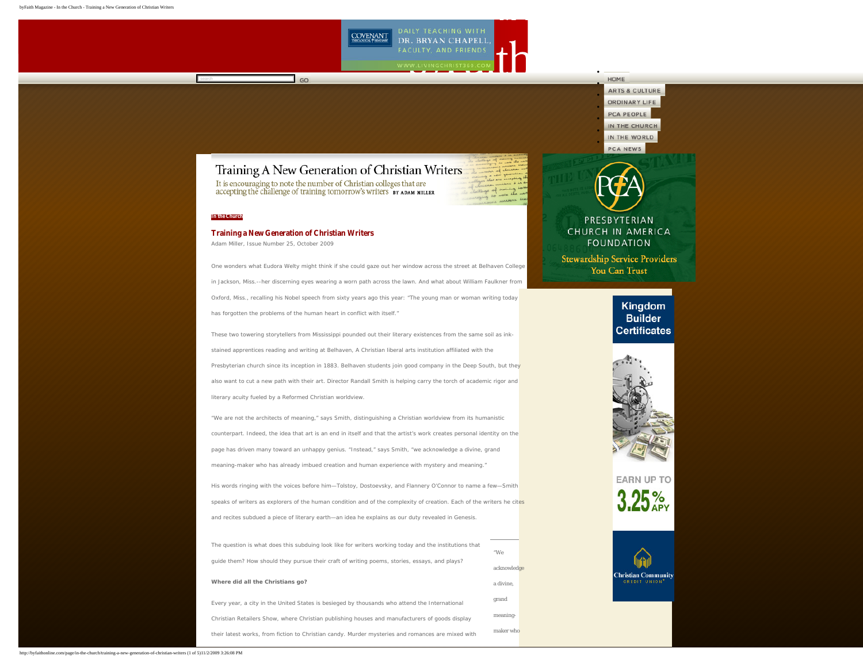

# **ARTS & CULTURE** ORDINARY LIFE PCA PEOPLE IN THE CHURCH IN THE WORLD PCA NEWS

● ● ● ● ● ● ●

HOME

# <span id="page-0-0"></span>Training A New Generation of Christian Writers

It is encouraging to note the number of Christian colleges that are accepting the challenge of training tomorrow's writers  $\,$  sy  $\,$  xpAM MILLER

### **[In the Church](http://byfaithonline.com/page/in-the-church/)**

## **Training a New Generation of Christian Writers**

 $\overline{\phantom{a}}$  GO

Adam Miller, Issue Number 25, October 2009

One wonders what Eudora Welty might think if she could gaze out her window across the street at Belhaven College in Jackson, Miss.--her discerning eyes wearing a worn path across the lawn. And what about William Faulkner from Oxford, Miss., recalling his Nobel speech from sixty years ago this year: "The young man or woman writing today has forgotten the problems of the human heart in conflict with itself."

These two towering storytellers from Mississippi pounded out their literary existences from the same soil as inkstained apprentices reading and writing at Belhaven, A Christian liberal arts institution affiliated with the Presbyterian church since its inception in 1883. Belhaven students join good company in the Deep South, but they also want to cut a new path with their art. Director Randall Smith is helping carry the torch of academic rigor and literary acuity fueled by a Reformed Christian worldview.

"We are not the architects of meaning," says Smith, distinguishing a Christian worldview from its humanistic counterpart. Indeed, the idea that art is an end in itself and that the artist's work creates personal identity on the page has driven many toward an unhappy genius. "Instead," says Smith, "we acknowledge a divine, grand meaning-maker who has already imbued creation and human experience with mystery and meaning."

His words ringing with the voices before him—Tolstoy, Dostoevsky, and Flannery O'Connor to name a few—Smith speaks of writers as explorers of the human condition and of the complexity of creation. Each of the writers he cites and recites subdued a piece of literary earth—an idea he explains as our duty revealed in Genesis.

| The question is what does this subduing look like for writers working today and the institutions that | "We         |  |
|-------------------------------------------------------------------------------------------------------|-------------|--|
| quide them? How should they pursue their craft of writing poems, stories, essays, and plays?          | acknowledge |  |
| Where did all the Christians go?                                                                      | a divine.   |  |
| Every year, a city in the United States is besieged by thousands who attend the International         | grand       |  |
| Christian Retailers Show, where Christian publishing houses and manufacturers of goods display        | meaning-    |  |
| their latest works, from fiction to Christian candy. Murder mysteries and romances are mixed with     | maker who   |  |
|                                                                                                       |             |  |



**Stewardship Service Providers** You Can Trust

> Kingdom **Builder Certificates**



**FARN UP TO** 



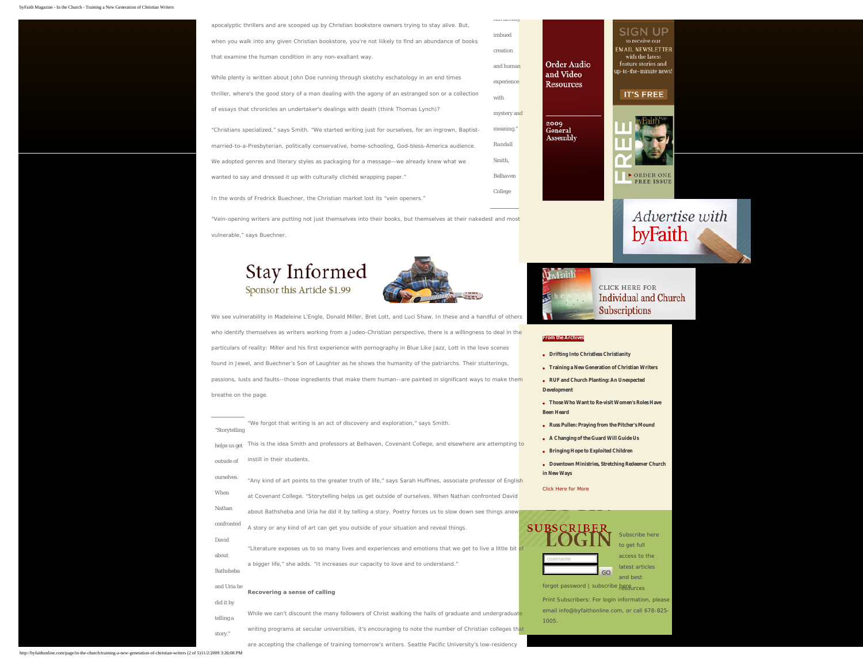| apocalyptic thrillers and are scooped up by Christian bookstore owners trying to stay alive. But,      |             |
|--------------------------------------------------------------------------------------------------------|-------------|
| when you walk into any given Christian bookstore, you're not liikely to find an abundance of books     | imbued      |
| that examine the human condition in any non-exaltant way.                                              | creation    |
|                                                                                                        | and human   |
| While plenty is written about John Doe running through sketchy eschatology in an end times             | experience  |
| thriller, where's the good story of a man dealing with the agony of an estranged son or a collection   | with        |
| of essays that chronicles an undertaker's dealings with death (think Thomas Lynch)?                    | mystery and |
| "Christians specialized," says Smith. "We started writing just for ourselves, for an ingrown, Baptist- | meaning."   |
| married-to-a-Presbyterian, politically conservative, home-schooling, God-bless-America audience.       | Randall     |
| We adopted genres and literary styles as packaging for a message—we already knew what we               | Smith,      |
| wanted to say and dressed it up with culturally cliched wrapping paper."                               | Belhaven    |
| In the words of Fredrick Buechner, the Christian market lost its "vein openers."                       | College     |

"Vein-opening writers are putting not just themselves into their books, but themselves at their nakedest and most vulnerable," says Buechner.

# Stay Informed Sponsor this Article \$1.99



We see vulnerability in Madeleine L'Engle, Donald Miller, Bret Lott, and Luci Shaw. In these and a handful of others who identify themselves as writers working from a Judeo-Christian perspective, there is a willingness to deal in the particulars of reality: Miller and his first experience with pornography in *Blue Like Jazz*, Lott in the love scenes found in *Jewel*, and Buechner's *Son of Laughter* as he shows the humanity of the patriarchs. Their stutterings, passions, lusts and faults--those ingredients that make them human--are painted in significant ways to make them breathe on the page.

| "Storytelling | "We forgot that writing is an act of discovery and exploration," says Smith.                               |  |
|---------------|------------------------------------------------------------------------------------------------------------|--|
| helps us get  | This is the idea Smith and professors at Belhaven, Covenant College, and elsewhere are attempting to       |  |
| outside of    | instill in their students.                                                                                 |  |
| ourselves.    | "Any kind of art points to the greater truth of life," says Sarah Huffines, associate professor of English |  |
| When          | at Covenant College. "Storytelling helps us get outside of ourselves. When Nathan confronted David         |  |
| Nathan        | about Bathsheba and Uria he did it by telling a story. Poetry forces us to slow down see things anew       |  |
| confronted    | A story or any kind of art can get you outside of your situation and reveal things.                        |  |
| David         |                                                                                                            |  |
| about         | "Literature exposes us to so many lives and experiences and emotions that we get to live a little bit of   |  |
| Bathsheba     | a bigger life," she adds. "It increases our capacity to love and to understand."                           |  |
| and Uria he   | Recovering a sense of calling                                                                              |  |
| did it by     |                                                                                                            |  |
| telling a     | While we can't discount the many followers of Christ walking the halls of graduate and undergraduate       |  |
| story."       | writing programs at secular universities, it's encouraging to note the number of Christian colleges that   |  |

are accepting the challenge of training tomorrow's writers. Seattle Pacific University's low-residency



has all cauy





### **[From the Archives](http://byfaithonline.com/page/archive)**

- **[Drifting Into Christless Christianity](http://byfaithonline.com/page/in-the-church/drifting-into-christless-christianity)**
- **[Training a New Generation of Christian Writers](#page-0-0)**
- **[RUF and Church Planting: An Unexpected](http://byfaithonline.com/page/in-the-church/ruf-and-church-planting-an-unexpected-development)**
- **[Development](http://byfaithonline.com/page/in-the-church/ruf-and-church-planting-an-unexpected-development)**
- **[Those Who Want to Re-visit Women's Roles Have](http://byfaithonline.com/page/in-the-church/those-who-want-to-re-visit-womens-roles-have-been-heard)  [Been Heard](http://byfaithonline.com/page/in-the-church/those-who-want-to-re-visit-womens-roles-have-been-heard)**
- **[Russ Pullen: Praying from the Pitcher's Mound](http://byfaithonline.com/page/pca-people/russ-pullen-praying-from-the-pitchers-mound)**
- **[A Changing of the Guard Will Guide Us](http://byfaithonline.com/page/in-the-church/a-changing-of-the-guard-will-guide-us)**
- **[Bringing Hope to Exploited Children](http://byfaithonline.com/page/in-the-church/bringing-hope-to-exploited-children)**
- **[Downtown Ministries, Stretching Redeemer Church](http://byfaithonline.com/page/in-the-church/downtown-ministries-stretching-redeemer-church-in-new-ways) [in New Ways](http://byfaithonline.com/page/in-the-church/downtown-ministries-stretching-redeemer-church-in-new-ways)**

[Click Here for More](http://byfaithonline.com/page/archive)

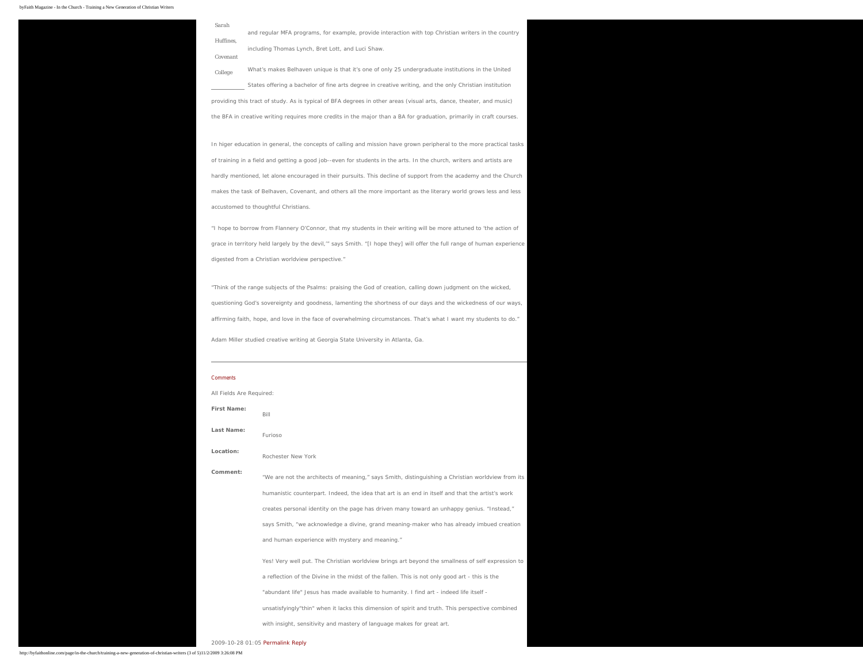#### byFaith Magazine - In the Church - Training a New Generation of Christian Writers

| Sarah     |                                                                                                        |
|-----------|--------------------------------------------------------------------------------------------------------|
|           | and regular MFA programs, for example, provide interaction with top Christian writers in the country   |
| Huffines. | including Thomas Lynch, Bret Lott, and Luci Shaw.                                                      |
| Covenant  |                                                                                                        |
| College   | What's makes Belhaven unique is that it's one of only 25 undergraduate institutions in the United      |
|           | States offering a bachelor of fine arts degree in creative writing, and the only Christian institution |

providing this tract of study. As is typical of BFA degrees in other areas (visual arts, dance, theater, and music) the BFA in creative writing requires more credits in the major than a BA for graduation, primarily in craft courses.

In higer education in general, the concepts of calling and mission have grown peripheral to the more practical tasks of training in a field and getting a good job--even for students in the arts. In the church, writers and artists are hardly mentioned, let alone encouraged in their pursuits. This decline of support from the academy and the Church makes the task of Belhaven, Covenant, and others all the more important as the literary world grows less and less accustomed to thoughtful Christians.

"I hope to borrow from Flannery O'Connor, that my students in their writing will be more attuned to 'the action of grace in territory held largely by the devil,'" says Smith. "[I hope they] will offer the full range of human experience digested from a Christian worldview perspective."

"Think of the range subjects of the Psalms: praising the God of creation, calling down judgment on the wicked, questioning God's sovereignty and goodness, lamenting the shortness of our days and the wickedness of our ways, affirming faith, hope, and love in the face of overwhelming circumstances. That's what I want my students to do."

*Adam Miller studied creative writing at Georgia State University in Atlanta, Ga.* 

# Comments All Fields Are Required: **First Name:** Bill **Last Name:** Furioso **Location:** Rochester New York **Comment:** "We are not the architects of meaning," says Smith, distinguishing a Christian worldview from its humanistic counterpart. Indeed, the idea that art is an end in itself and that the artist's work creates personal identity on the page has driven many toward an unhappy genius. "Instead," says Smith, "we acknowledge a divine, grand meaning-maker who has already imbued creation and human experience with mystery and meaning." Yes! Very well put. The Christian worldview brings art beyond the smallness of self expression to a reflection of the Divine in the midst of the fallen. This is not only good art - this is the "abundant life" Jesus has made available to humanity. I find art - indeed life itself unsatisfyingly"thin" when it lacks this dimension of spirit and truth. This perspective combined

with insight, sensitivity and mastery of language makes for great art.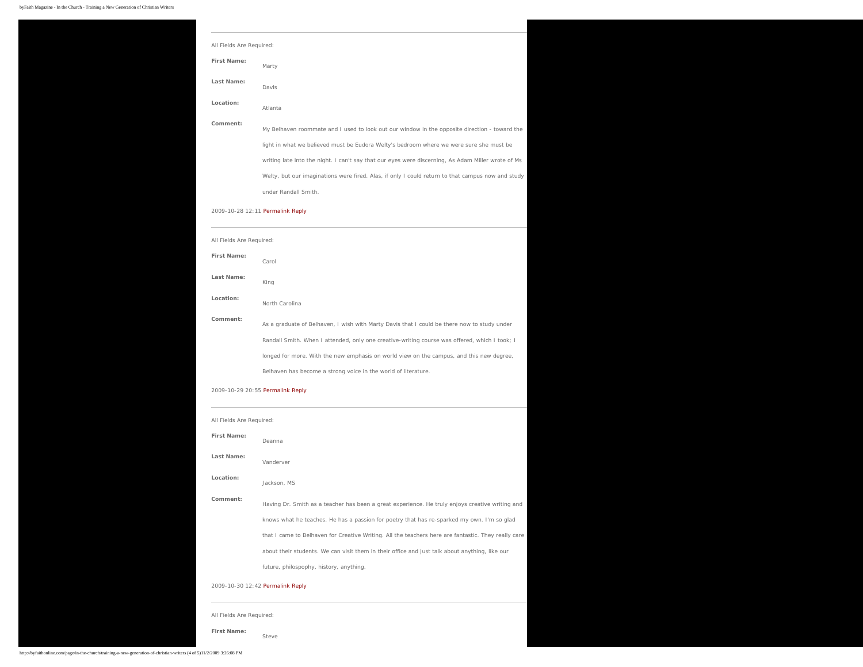| All Fields Are Required:                                                                           |  |
|----------------------------------------------------------------------------------------------------|--|
|                                                                                                    |  |
|                                                                                                    |  |
|                                                                                                    |  |
| My Belhaven roommate and I used to look out our window in the opposite direction - toward the      |  |
|                                                                                                    |  |
| writing late into the night. I can't say that our eyes were discerning, As Adam Miller wrote of Ms |  |
| Welty, but our imaginations were fired. Alas, if only I could return to that campus now and study  |  |
|                                                                                                    |  |
|                                                                                                    |  |

### 2009-10-28 12:11 [Permalink](http://byfaithonline.com/page/in-the-church/training-a-new-generation-of-christian-writers?comment=3395) [Reply](#page-0-0)

| All Fields Are Required: |                                                                                               |
|--------------------------|-----------------------------------------------------------------------------------------------|
| First Name:              | Carol                                                                                         |
| Last Name:               | King                                                                                          |
| Location:                | North Carolina                                                                                |
| Comment:                 | As a graduate of Belhaven, I wish with Marty Davis that I could be there now to study under   |
|                          | Randall Smith. When I attended, only one creative-writing course was offered, which I took; I |
|                          | longed for more. With the new emphasis on world view on the campus, and this new degree,      |
|                          | Belhaven has become a strong voice in the world of literature.                                |

### 2009-10-29 20:55 [Permalink](http://byfaithonline.com/page/in-the-church/training-a-new-generation-of-christian-writers?comment=3405) [Reply](#page-0-0)

| All Fields Are Required: |                                                                                                     |
|--------------------------|-----------------------------------------------------------------------------------------------------|
| First Name:              | Deanna                                                                                              |
| Last Name:               | Vanderver                                                                                           |
| Location:                | Jackson, MS                                                                                         |
| Comment:                 | Having Dr. Smith as a teacher has been a great experience. He truly enjoys creative writing and     |
|                          | knows what he teaches. He has a passion for poetry that has re-sparked my own. I'm so glad          |
|                          | that I came to Belhaven for Creative Writing. All the teachers here are fantastic. They really care |
|                          | about their students. We can visit them in their office and just talk about anything, like our      |
|                          | future, philospophy, history, anything.                                                             |

### 2009-10-30 12:42 [Permalink](http://byfaithonline.com/page/in-the-church/training-a-new-generation-of-christian-writers?comment=3411) [Reply](#page-0-0)

All Fields Are Required:

**First Name:** Steve

### http://byfaithonline.com/page/in-the-church/training-a-new-generation-of-christian-writers (4 of 5)11/2/2009 3:26:08 PM